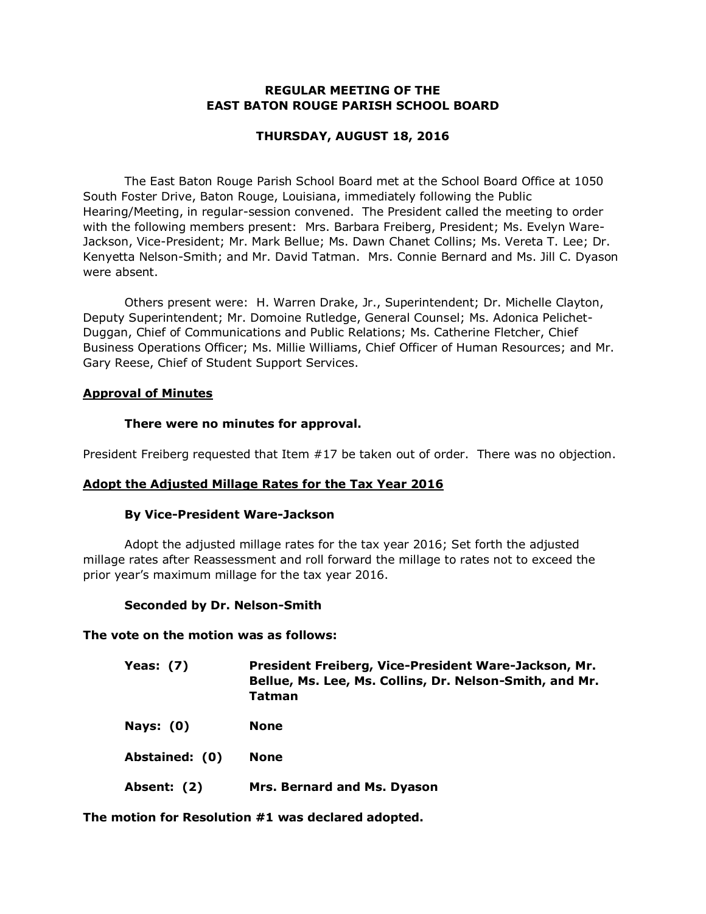### **REGULAR MEETING OF THE EAST BATON ROUGE PARISH SCHOOL BOARD**

## **THURSDAY, AUGUST 18, 2016**

The East Baton Rouge Parish School Board met at the School Board Office at 1050 South Foster Drive, Baton Rouge, Louisiana, immediately following the Public Hearing/Meeting, in regular-session convened. The President called the meeting to order with the following members present: Mrs. Barbara Freiberg, President; Ms. Evelyn Ware-Jackson, Vice-President; Mr. Mark Bellue; Ms. Dawn Chanet Collins; Ms. Vereta T. Lee; Dr. Kenyetta Nelson-Smith; and Mr. David Tatman. Mrs. Connie Bernard and Ms. Jill C. Dyason were absent.

Others present were: H. Warren Drake, Jr., Superintendent; Dr. Michelle Clayton, Deputy Superintendent; Mr. Domoine Rutledge, General Counsel; Ms. Adonica Pelichet-Duggan, Chief of Communications and Public Relations; Ms. Catherine Fletcher, Chief Business Operations Officer; Ms. Millie Williams, Chief Officer of Human Resources; and Mr. Gary Reese, Chief of Student Support Services.

#### **Approval of Minutes**

#### **There were no minutes for approval.**

President Freiberg requested that Item #17 be taken out of order. There was no objection.

#### **Adopt the Adjusted Millage Rates for the Tax Year 2016**

#### **By Vice-President Ware-Jackson**

Adopt the adjusted millage rates for the tax year 2016; Set forth the adjusted millage rates after Reassessment and roll forward the millage to rates not to exceed the prior year's maximum millage for the tax year 2016.

#### **Seconded by Dr. Nelson-Smith**

#### **The vote on the motion was as follows:**

| Yeas: $(7)$    | President Freiberg, Vice-President Ware-Jackson, Mr.<br>Bellue, Ms. Lee, Ms. Collins, Dr. Nelson-Smith, and Mr.<br>Tatman |
|----------------|---------------------------------------------------------------------------------------------------------------------------|
| Nays: $(0)$    | <b>None</b>                                                                                                               |
| Abstained: (0) | <b>None</b>                                                                                                               |
| Absent: (2)    | Mrs. Bernard and Ms. Dyason                                                                                               |

**The motion for Resolution #1 was declared adopted.**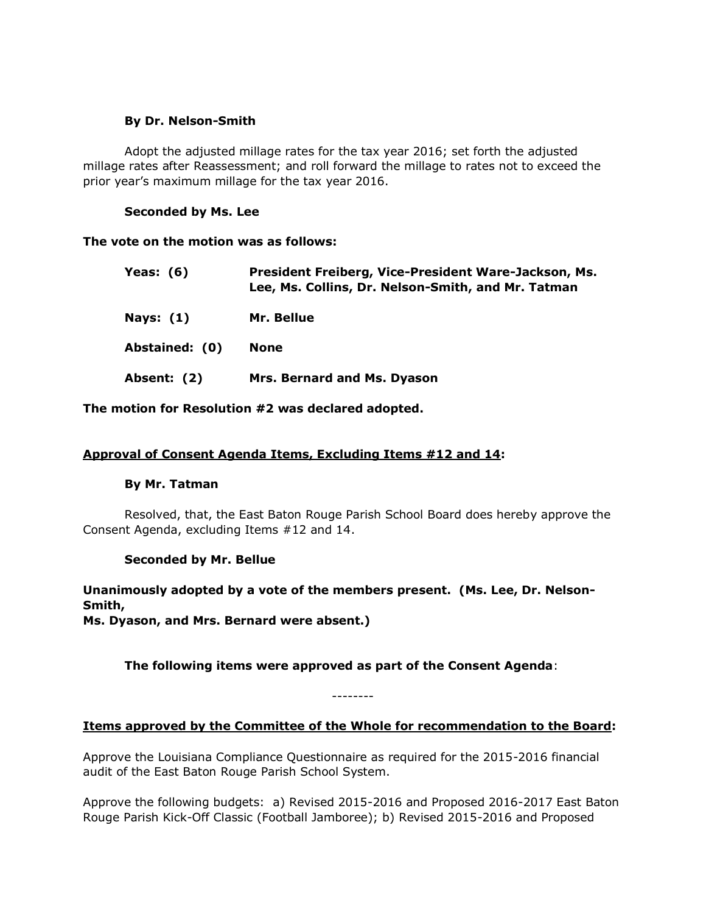### **By Dr. Nelson-Smith**

Adopt the adjusted millage rates for the tax year 2016; set forth the adjusted millage rates after Reassessment; and roll forward the millage to rates not to exceed the prior year's maximum millage for the tax year 2016.

#### **Seconded by Ms. Lee**

## **The vote on the motion was as follows:**

| Yeas: $(6)$    | President Freiberg, Vice-President Ware-Jackson, Ms.<br>Lee, Ms. Collins, Dr. Nelson-Smith, and Mr. Tatman |
|----------------|------------------------------------------------------------------------------------------------------------|
| Nays: $(1)$    | Mr. Bellue                                                                                                 |
| Abstained: (0) | <b>None</b>                                                                                                |
| Absent: (2)    | Mrs. Bernard and Ms. Dyason                                                                                |

**The motion for Resolution #2 was declared adopted.**

# **Approval of Consent Agenda Items, Excluding Items #12 and 14:**

#### **By Mr. Tatman**

Resolved, that, the East Baton Rouge Parish School Board does hereby approve the Consent Agenda, excluding Items #12 and 14.

# **Seconded by Mr. Bellue**

**Unanimously adopted by a vote of the members present. (Ms. Lee, Dr. Nelson-Smith, Ms. Dyason, and Mrs. Bernard were absent.)**

**The following items were approved as part of the Consent Agenda**:

--------

# **Items approved by the Committee of the Whole for recommendation to the Board:**

Approve the Louisiana Compliance Questionnaire as required for the 2015-2016 financial audit of the East Baton Rouge Parish School System.

Approve the following budgets: a) Revised 2015-2016 and Proposed 2016-2017 East Baton Rouge Parish Kick-Off Classic (Football Jamboree); b) Revised 2015-2016 and Proposed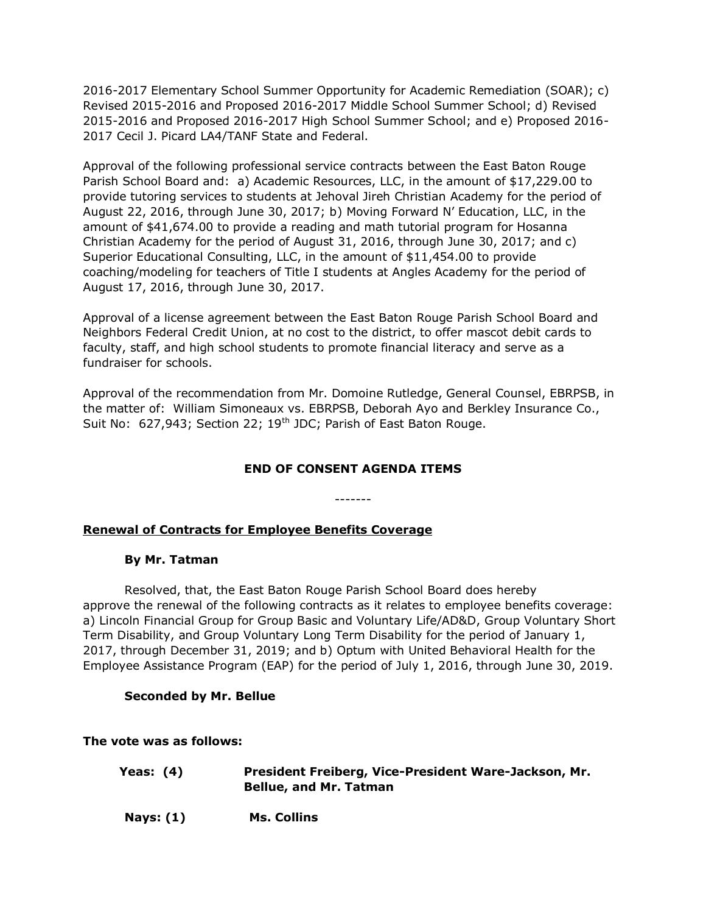2016-2017 Elementary School Summer Opportunity for Academic Remediation (SOAR); c) Revised 2015-2016 and Proposed 2016-2017 Middle School Summer School; d) Revised 2015-2016 and Proposed 2016-2017 High School Summer School; and e) Proposed 2016- 2017 Cecil J. Picard LA4/TANF State and Federal.

Approval of the following professional service contracts between the East Baton Rouge Parish School Board and: a) Academic Resources, LLC, in the amount of \$17,229.00 to provide tutoring services to students at Jehoval Jireh Christian Academy for the period of August 22, 2016, through June 30, 2017; b) Moving Forward N' Education, LLC, in the amount of \$41,674.00 to provide a reading and math tutorial program for Hosanna Christian Academy for the period of August 31, 2016, through June 30, 2017; and c) Superior Educational Consulting, LLC, in the amount of \$11,454.00 to provide coaching/modeling for teachers of Title I students at Angles Academy for the period of August 17, 2016, through June 30, 2017.

Approval of a license agreement between the East Baton Rouge Parish School Board and Neighbors Federal Credit Union, at no cost to the district, to offer mascot debit cards to faculty, staff, and high school students to promote financial literacy and serve as a fundraiser for schools.

Approval of the recommendation from Mr. Domoine Rutledge, General Counsel, EBRPSB, in the matter of: William Simoneaux vs. EBRPSB, Deborah Ayo and Berkley Insurance Co., Suit No: 627,943; Section 22; 19<sup>th</sup> JDC; Parish of East Baton Rouge.

# **END OF CONSENT AGENDA ITEMS**

-------

# **Renewal of Contracts for Employee Benefits Coverage**

#### **By Mr. Tatman**

Resolved, that, the East Baton Rouge Parish School Board does hereby approve the renewal of the following contracts as it relates to employee benefits coverage: a) Lincoln Financial Group for Group Basic and Voluntary Life/AD&D, Group Voluntary Short Term Disability, and Group Voluntary Long Term Disability for the period of January 1, 2017, through December 31, 2019; and b) Optum with United Behavioral Health for the Employee Assistance Program (EAP) for the period of July 1, 2016, through June 30, 2019.

#### **Seconded by Mr. Bellue**

#### **The vote was as follows:**

| Yeas: (4)        | President Freiberg, Vice-President Ware-Jackson, Mr.<br><b>Bellue, and Mr. Tatman</b> |
|------------------|---------------------------------------------------------------------------------------|
| <b>Nays: (1)</b> | Ms. Collins                                                                           |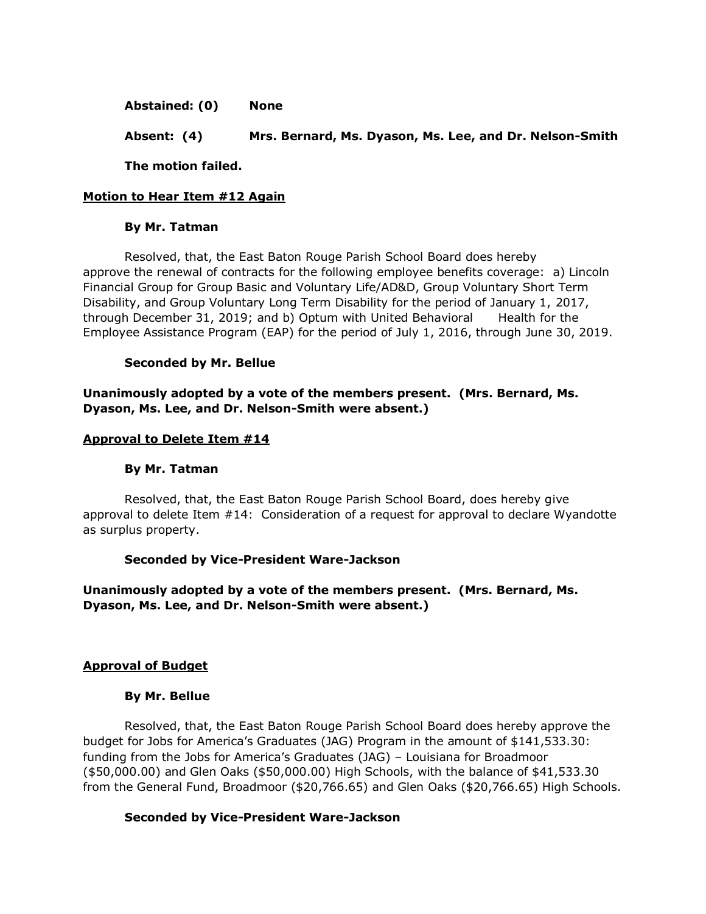**Abstained: (0) None**

**Absent: (4) Mrs. Bernard, Ms. Dyason, Ms. Lee, and Dr. Nelson-Smith**

**The motion failed.**

# **Motion to Hear Item #12 Again**

#### **By Mr. Tatman**

Resolved, that, the East Baton Rouge Parish School Board does hereby approve the renewal of contracts for the following employee benefits coverage: a) Lincoln Financial Group for Group Basic and Voluntary Life/AD&D, Group Voluntary Short Term Disability, and Group Voluntary Long Term Disability for the period of January 1, 2017, through December 31, 2019; and b) Optum with United Behavioral Health for the Employee Assistance Program (EAP) for the period of July 1, 2016, through June 30, 2019.

#### **Seconded by Mr. Bellue**

**Unanimously adopted by a vote of the members present. (Mrs. Bernard, Ms. Dyason, Ms. Lee, and Dr. Nelson-Smith were absent.)**

#### **Approval to Delete Item #14**

#### **By Mr. Tatman**

Resolved, that, the East Baton Rouge Parish School Board, does hereby give approval to delete Item #14: Consideration of a request for approval to declare Wyandotte as surplus property.

#### **Seconded by Vice-President Ware-Jackson**

**Unanimously adopted by a vote of the members present. (Mrs. Bernard, Ms. Dyason, Ms. Lee, and Dr. Nelson-Smith were absent.)**

#### **Approval of Budget**

#### **By Mr. Bellue**

Resolved, that, the East Baton Rouge Parish School Board does hereby approve the budget for Jobs for America's Graduates (JAG) Program in the amount of \$141,533.30: funding from the Jobs for America's Graduates (JAG) – Louisiana for Broadmoor (\$50,000.00) and Glen Oaks (\$50,000.00) High Schools, with the balance of \$41,533.30 from the General Fund, Broadmoor (\$20,766.65) and Glen Oaks (\$20,766.65) High Schools.

#### **Seconded by Vice-President Ware-Jackson**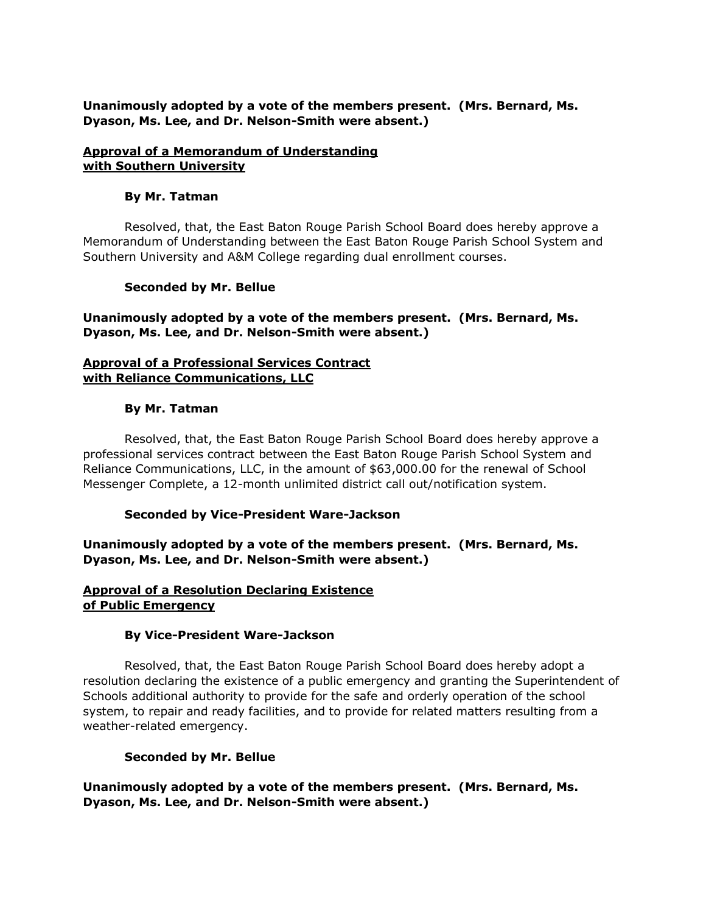## **Unanimously adopted by a vote of the members present. (Mrs. Bernard, Ms. Dyason, Ms. Lee, and Dr. Nelson-Smith were absent.)**

### **Approval of a Memorandum of Understanding with Southern University**

## **By Mr. Tatman**

Resolved, that, the East Baton Rouge Parish School Board does hereby approve a Memorandum of Understanding between the East Baton Rouge Parish School System and Southern University and A&M College regarding dual enrollment courses.

## **Seconded by Mr. Bellue**

**Unanimously adopted by a vote of the members present. (Mrs. Bernard, Ms. Dyason, Ms. Lee, and Dr. Nelson-Smith were absent.)**

# **Approval of a Professional Services Contract with Reliance Communications, LLC**

## **By Mr. Tatman**

Resolved, that, the East Baton Rouge Parish School Board does hereby approve a professional services contract between the East Baton Rouge Parish School System and Reliance Communications, LLC, in the amount of \$63,000.00 for the renewal of School Messenger Complete, a 12-month unlimited district call out/notification system.

# **Seconded by Vice-President Ware-Jackson**

**Unanimously adopted by a vote of the members present. (Mrs. Bernard, Ms. Dyason, Ms. Lee, and Dr. Nelson-Smith were absent.)**

## **Approval of a Resolution Declaring Existence of Public Emergency**

# **By Vice-President Ware-Jackson**

Resolved, that, the East Baton Rouge Parish School Board does hereby adopt a resolution declaring the existence of a public emergency and granting the Superintendent of Schools additional authority to provide for the safe and orderly operation of the school system, to repair and ready facilities, and to provide for related matters resulting from a weather-related emergency.

#### **Seconded by Mr. Bellue**

**Unanimously adopted by a vote of the members present. (Mrs. Bernard, Ms. Dyason, Ms. Lee, and Dr. Nelson-Smith were absent.)**